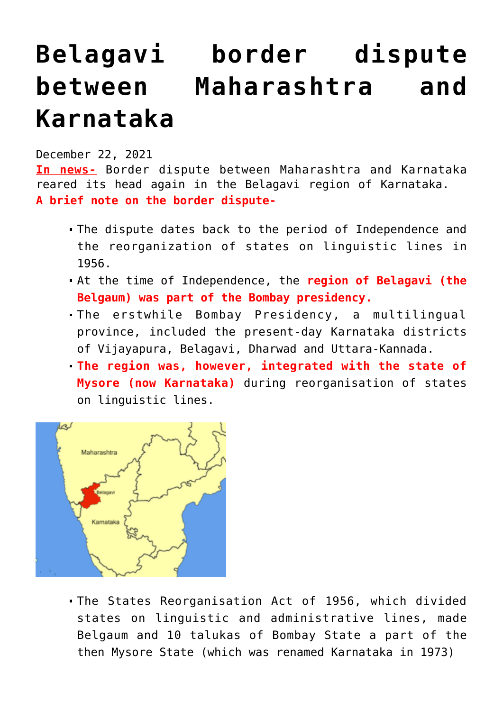## **[Belagavi border dispute](https://journalsofindia.com/belagavi-border-dispute-between-maharashtra-and-karnataka/) [between Maharashtra and](https://journalsofindia.com/belagavi-border-dispute-between-maharashtra-and-karnataka/) [Karnataka](https://journalsofindia.com/belagavi-border-dispute-between-maharashtra-and-karnataka/)**

## December 22, 2021

**In news-** Border dispute between Maharashtra and Karnataka reared its head again in the Belagavi region of Karnataka. **A brief note on the border dispute-**

- The dispute dates back to the period of Independence and the reorganization of states on linguistic lines in 1956.
- At the time of Independence, the **region of Belagavi (the Belgaum) was part of the Bombay presidency.**
- The erstwhile Bombay Presidency, a multilingual province, included the present-day Karnataka districts of Vijayapura, Belagavi, Dharwad and Uttara-Kannada.
- **The region was, however, integrated with the state of Mysore (now Karnataka)** during reorganisation of states on linguistic lines.



The States Reorganisation Act of 1956, which divided states on linguistic and administrative lines, made Belgaum and 10 talukas of Bombay State a part of the then Mysore State (which was renamed Karnataka in 1973)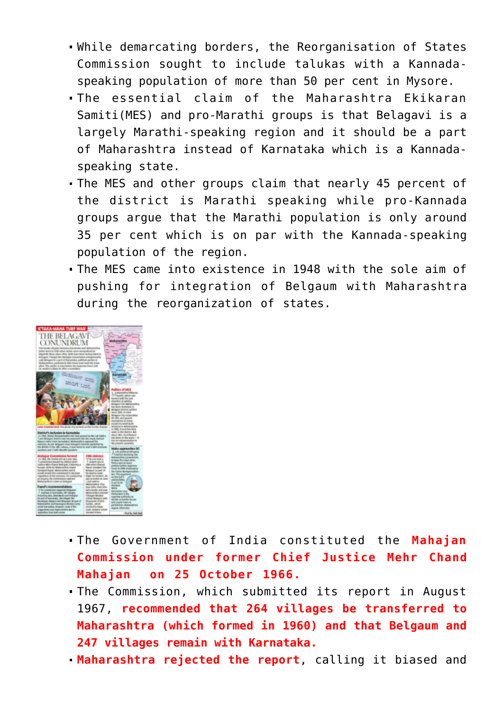- While demarcating borders, the Reorganisation of States Commission sought to include talukas with a Kannadaspeaking population of more than 50 per cent in Mysore.
- The essential claim of the Maharashtra Ekikaran Samiti(MES) and pro-Marathi groups is that Belagavi is a largely Marathi-speaking region and it should be a part of Maharashtra instead of Karnataka which is a Kannadaspeaking state.
- The MES and other groups claim that nearly 45 percent of the district is Marathi speaking while pro-Kannada groups argue that the Marathi population is only around 35 per cent which is on par with the Kannada-speaking population of the region.
- The MES came into existence in 1948 with the sole aim of pushing for integration of Belgaum with Maharashtra during the reorganization of states.



- The Government of India constituted the **Mahajan Commission under former Chief Justice Mehr Chand Mahajan on 25 October 1966.**
- The Commission, which submitted its report in August 1967, **recommended that 264 villages be transferred to Maharashtra (which formed in 1960) and that Belgaum and 247 villages remain with Karnataka.**
- **Maharashtra rejected the report**, calling it biased and